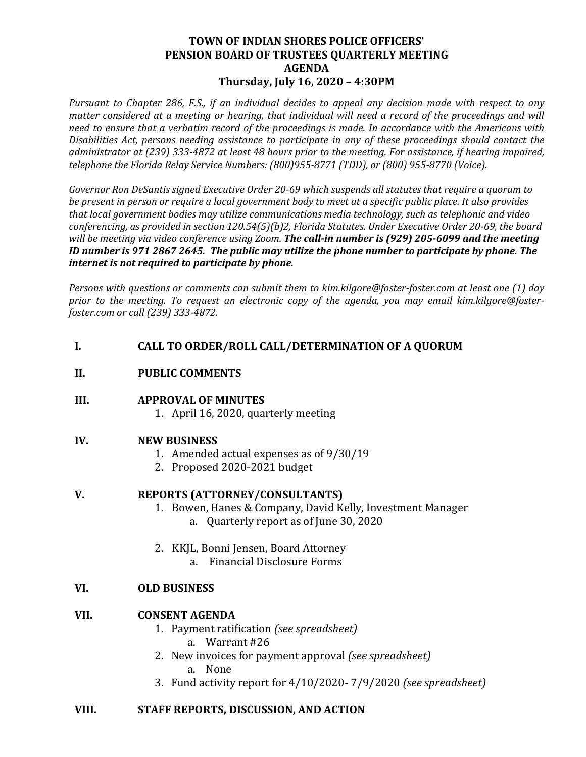## **TOWN OF INDIAN SHORES POLICE OFFICERS' PENSION BOARD OF TRUSTEES QUARTERLY MEETING AGENDA Thursday, July 16, 2020 – 4:30PM**

*Pursuant to Chapter 286, F.S., if an individual decides to appeal any decision made with respect to any matter considered at a meeting or hearing, that individual will need a record of the proceedings and will need to ensure that a verbatim record of the proceedings is made. In accordance with the Americans with Disabilities Act, persons needing assistance to participate in any of these proceedings should contact the administrator at (239) 333-4872 at least 48 hours prior to the meeting. For assistance, if hearing impaired, telephone the Florida Relay Service Numbers: (800)955-8771 (TDD), or (800) 955-8770 (Voice).*

*Governor Ron DeSantis signed Executive Order 20-69 which suspends all statutes that require a quorum to be present in person or require a local government body to meet at a specific public place. It also provides that local government bodies may utilize communications media technology, such as telephonic and video conferencing, as provided in section 120.54(5)(b)2, Florida Statutes. Under Executive Order 20-69, the board will be meeting via video conference using Zoom. The call-in number is (929) 205-6099 and the meeting ID number is 971 2867 2645. The public may utilize the phone number to participate by phone. The internet is not required to participate by phone.* 

*Persons with questions or comments can submit them to kim.kilgore@foster-foster.com at least one (1) day prior to the meeting. To request an electronic copy of the agenda, you may email kim.kilgore@fosterfoster.com or call (239) 333-4872.*

## **I. CALL TO ORDER/ROLL CALL/DETERMINATION OF A QUORUM**

#### **II. PUBLIC COMMENTS**

#### **III. APPROVAL OF MINUTES**

1. April 16, 2020, quarterly meeting

## **IV. NEW BUSINESS**

- 1. Amended actual expenses as of 9/30/19
- 2. Proposed 2020-2021 budget

#### **V. REPORTS (ATTORNEY/CONSULTANTS)**

- 1. Bowen, Hanes & Company, David Kelly, Investment Manager
	- a. Quarterly report as of June 30, 2020
- 2. KKJL, Bonni Jensen, Board Attorney
	- a. Financial Disclosure Forms

## **VI. OLD BUSINESS**

#### **VII. CONSENT AGENDA**

- 1. Payment ratification *(see spreadsheet)* a. Warrant #26
- 2. New invoices for payment approval *(see spreadsheet)* a. None
- 3. Fund activity report for 4/10/2020- 7/9/2020 *(see spreadsheet)*

## **VIII. STAFF REPORTS, DISCUSSION, AND ACTION**